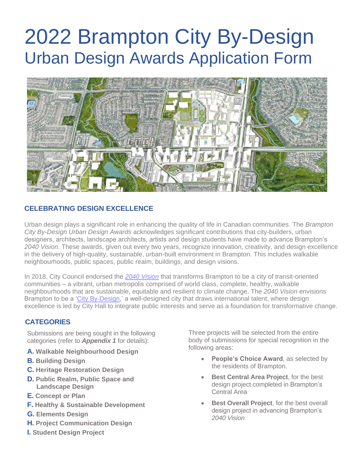

### **CELEBRATING DESIGN EXCELLENCE**

Urban design plays a significant role in enhancing the quality of life in Canadian communities. The *Brampton City By-Design Urban Design Awards* acknowledges significant contributions that city-builders, urban designers, architects, landscape architects, artists and design students have made to advance Brampton's *2040 Vision*. These awards, given out every two years, recognize innovation, creativity, and design excellence in the delivery of high-quality, sustainable, urban-built environment in Brampton. This includes walkable neighbourhoods, public spaces, public realm, buildings, and design visions.

In 2018, City Council endorsed the *[2040 Vision](https://www.brampton.ca/EN/City-Hall/Documents/Brampton2040Vision/brampton2040Vision.pdf)* that transforms Brampton to be a city of transit-oriented communities – a vibrant, urban metropolis comprised of world class, complete, healthy, walkable neighbourhoods that are sustainable, equitable and resilient to climate change. The *2040 Vision* envisions Brampton to be a ['City By-Design,](https://www.brampton.ca/EN/City-Hall/uptown-brampton/Pages/Welcome.aspx)' a well-designed city that draws international talent, where design excellence is led by City Hall to integrate public interests and serve as a foundation for transformative change.

#### **CATEGORIES**

Submissions are being sought in the following categories (refer to *Appendix 1* for details):

- **A. Walkable Neighbourhood Design**
- **B. Building Design**
- **C. Heritage Restoration Design**
- **D. Public Realm, Public Space and Landscape Design**
- **E. Concept or Plan**
- **F. Healthy & Sustainable Development**
- **G. Elements Design**
- **H. Project Communication Design**
- **I. Student Design Project**

Three projects will be selected from the entire body of submissions for special recognition in the following areas:

- **People's Choice Award**, as selected by the residents of Brampton.
- **Best Central Area Project, for the best** design project completed in Brampton's Central Area
- **Best Overall Project**, for the best overall design project in advancing Brampton's *2040 Vision*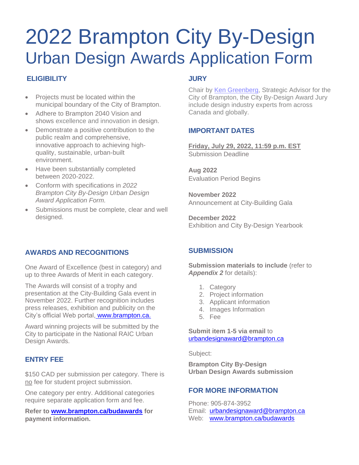## **ELIGIBILITY**

- Projects must be located within the municipal boundary of the City of Brampton.
- Adhere to Brampton 2040 Vision and shows excellence and innovation in design.
- Demonstrate a positive contribution to the public realm and comprehensive, innovative approach to achieving highquality, sustainable, urban-built environment.
- Have been substantially completed between 2020-2022.
- Conform with specifications in *2022 Brampton City By-Design Urban Design Award Application Form.*
- Submissions must be complete, clear and well designed.

### **JURY**

Chair by [Ken Greenberg,](https://www.kengreenberg.ca/) Strategic Advisor for the City of Brampton, the City By-Design Award Jury include design industry experts from across Canada and globally.

#### **IMPORTANT DATES**

**Friday, July 29, 2022, 11:59 p.m. EST** Submission Deadline

**Aug 2022** Evaluation Period Begins

**November 2022** Announcement at City-Building Gala

**December 2022** Exhibition and City By-Design Yearbook

### **AWARDS AND RECOGNITIONS**

One Award of Excellence (best in category) and up to three Awards of Merit in each category.

The Awards will consist of a trophy and presentation at the City-Building Gala event in November 2022. Further recognition includes press releases, exhibition and publicity on the City's official Web portal, [www.brampton.ca.](http://www.brampton.ca/)

Award winning projects will be submitted by the City to participate in the National RAIC Urban Design Awards.

### **ENTRY FEE**

\$150 CAD per submission per category. There is no fee for student project submission.

One category per entry. Additional categories require separate application form and fee.

**Refer to [www.brampton.ca/budawards](http://www.brampton.ca/budawards) for payment information.**

### **SUBMISSION**

**Submission materials to include** (refer to *Appendix 2* for details):

- 1. Category
- 2. Project information
- 3. Applicant information
- 4. Images Information
- 5. Fee

#### **Submit item 1-5 via email** to urbandesignaward@brampton.ca

[Subject:](mailto:urbandesignaward@brampton.ca)

**Brampton City By-Design Urban Design Awards submission**

### **FOR MORE INFORMATION**

Phone: 905-874-3952 [Email:](mailto:urbandesignaward@brampton.ca) urbandesignaward@brampton.ca Web: www.brampton.ca/budawards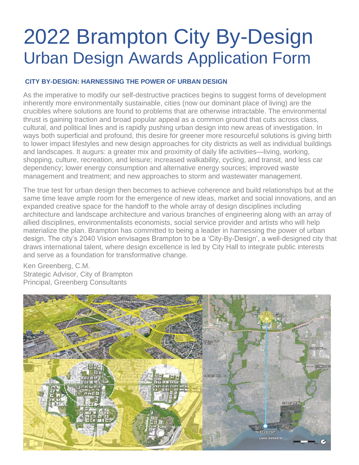#### **CITY BY-DESIGN: HARNESSING THE POWER OF URBAN DESIGN**

As the imperative to modify our self-destructive practices begins to suggest forms of development inherently more environmentally sustainable, cities (now our dominant place of living) are the crucibles where solutions are found to problems that are otherwise intractable. The environmental thrust is gaining traction and broad popular appeal as a common ground that cuts across class, cultural, and political lines and is rapidly pushing urban design into new areas of investigation. In ways both superficial and profound, this desire for greener more resourceful solutions is giving birth to lower impact lifestyles and new design approaches for city districts as well as individual buildings and landscapes. It augurs: a greater mix and proximity of daily life activities—living, working, shopping, culture, recreation, and leisure; increased walkability, cycling, and transit, and less car dependency; lower energy consumption and alternative energy sources; improved waste management and treatment; and new approaches to storm and wastewater management.

The true test for urban design then becomes to achieve coherence and build relationships but at the same time leave ample room for the emergence of new ideas, market and social innovations, and an expanded creative space for the handoff to the whole array of design disciplines including architecture and landscape architecture and various branches of engineering along with an array of allied disciplines, environmentalists economists, social service provider and artists who will help materialize the plan. Brampton has committed to being a leader in harnessing the power of urban design. The city's 2040 Vision envisages Brampton to be a 'City-By-Design', a well-designed city that draws international talent, where design excellence is led by City Hall to integrate public interests and serve as a foundation for transformative change.

Ken Greenberg, C.M. Strategic Advisor, City of Brampton Principal, Greenberg Consultants

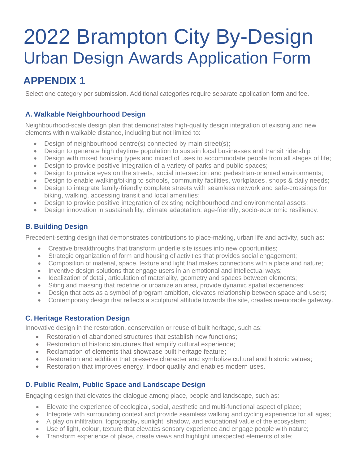## **APPENDIX 1**

Select one category per submission. Additional categories require separate application form and fee.

#### **A. Walkable Neighbourhood Design**

Neighbourhood-scale design plan that demonstrates high-quality design integration of existing and new elements within walkable distance, including but not limited to:

- Design of neighbourhood centre(s) connected by main street(s);
- Design to generate high daytime population to sustain local businesses and transit ridership;
- Design with mixed housing types and mixed of uses to accommodate people from all stages of life;
- Design to provide positive integration of a variety of parks and public spaces;
- Design to provide eyes on the streets, social intersection and pedestrian-oriented environments;
- Design to enable walking/biking to schools, community facilities, workplaces, shops & daily needs;
- Design to integrate family-friendly complete streets with seamless network and safe-crossings for biking, walking, accessing transit and local amenities;
- Design to provide positive integration of existing neighbourhood and environmental assets;
- Design innovation in sustainability, climate adaptation, age-friendly, socio-economic resiliency.

#### **B. Building Design**

Precedent-setting design that demonstrates contributions to place-making, urban life and activity, such as:

- Creative breakthroughs that transform underlie site issues into new opportunities;
- Strategic organization of form and housing of activities that provides social engagement;
- Composition of material, space, texture and light that makes connections with a place and nature;
- Inventive design solutions that engage users in an emotional and intellectual ways;
- Idealization of detail, articulation of materiality, geometry and spaces between elements;
- Siting and massing that redefine or urbanize an area, provide dynamic spatial experiences;
- Design that acts as a symbol of program ambition, elevates relationship between space and users;
- Contemporary design that reflects a sculptural attitude towards the site, creates memorable gateway.

#### **C. Heritage Restoration Design**

Innovative design in the restoration, conservation or reuse of built heritage, such as:

- Restoration of abandoned structures that establish new functions:
- Restoration of historic structures that amplify cultural experience;
- Reclamation of elements that showcase built heritage feature;
- Restoration and addition that preserve character and symbolize cultural and historic values;
- Restoration that improves energy, indoor quality and enables modern uses.

#### **D. Public Realm, Public Space and Landscape Design**

Engaging design that elevates the dialogue among place, people and landscape, such as:

- Elevate the experience of ecological, social, aesthetic and multi-functional aspect of place;
- Integrate with surrounding context and provide seamless walking and cycling experience for all ages;
- A play on infiltration, topography, sunlight, shadow, and educational value of the ecosystem;
- Use of light, colour, texture that elevates sensory experience and engage people with nature;
- Transform experience of place, create views and highlight unexpected elements of site;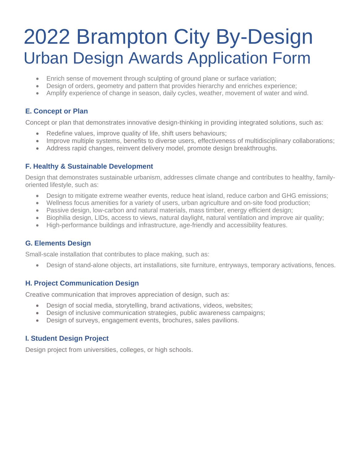- Enrich sense of movement through sculpting of ground plane or surface variation;
- Design of orders, geometry and pattern that provides hierarchy and enriches experience;
- Amplify experience of change in season, daily cycles, weather, movement of water and wind.

#### **E. Concept or Plan**

Concept or plan that demonstrates innovative design-thinking in providing integrated solutions, such as:

- Redefine values, improve quality of life, shift users behaviours;
- Improve multiple systems, benefits to diverse users, effectiveness of multidisciplinary collaborations;
- Address rapid changes, reinvent delivery model, promote design breakthroughs.

#### **F. Healthy & Sustainable Development**

Design that demonstrates sustainable urbanism, addresses climate change and contributes to healthy, familyoriented lifestyle, such as:

- Design to mitigate extreme weather events, reduce heat island, reduce carbon and GHG emissions;
- Wellness focus amenities for a variety of users, urban agriculture and on-site food production;
- Passive design, low-carbon and natural materials, mass timber, energy efficient design;
- Biophilia design, LIDs, access to views, natural daylight, natural ventilation and improve air quality;
- High-performance buildings and infrastructure, age-friendly and accessibility features.

#### **G. Elements Design**

Small-scale installation that contributes to place making, such as:

• Design of stand-alone objects, art installations, site furniture, entryways, temporary activations, fences.

#### **H. Project Communication Design**

Creative communication that improves appreciation of design, such as:

- Design of social media, storytelling, brand activations, videos, websites;
- Design of inclusive communication strategies, public awareness campaigns;
- Design of surveys, engagement events, brochures, sales pavilions.

#### **I. Student Design Project**

Design project from universities, colleges, or high schools.